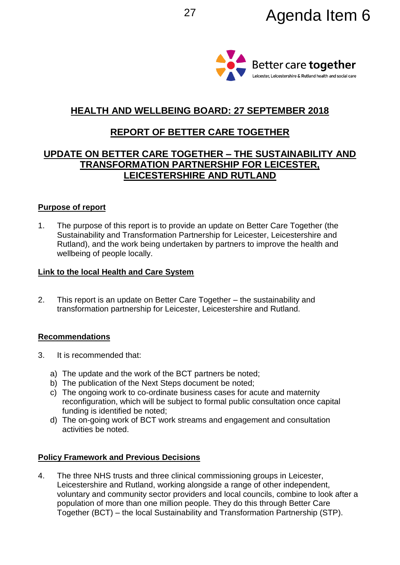

# **HEALTH AND WELLBEING BOARD: 27 SEPTEMBER 2018**

# **REPORT OF BETTER CARE TOGETHER**

# **UPDATE ON BETTER CARE TOGETHER – THE SUSTAINABILITY AND TRANSFORMATION PARTNERSHIP FOR LEICESTER, LEICESTERSHIRE AND RUTLAND**

### **Purpose of report**

1. The purpose of this report is to provide an update on Better Care Together (the Sustainability and Transformation Partnership for Leicester, Leicestershire and Rutland), and the work being undertaken by partners to improve the health and wellbeing of people locally.

### **Link to the local Health and Care System**

2. This report is an update on Better Care Together – the sustainability and transformation partnership for Leicester, Leicestershire and Rutland.

## **Recommendations**

- 3. It is recommended that:
	- a) The update and the work of the BCT partners be noted;
	- b) The publication of the Next Steps document be noted;
	- c) The ongoing work to co-ordinate business cases for acute and maternity reconfiguration, which will be subject to formal public consultation once capital funding is identified be noted;
	- d) The on-going work of BCT work streams and engagement and consultation activities be noted.

## **Policy Framework and Previous Decisions**

4. The three NHS trusts and three clinical commissioning groups in Leicester, Leicestershire and Rutland, working alongside a range of other independent, voluntary and community sector providers and local councils, combine to look after a population of more than one million people. They do this through Better Care Together (BCT) – the local Sustainability and Transformation Partnership (STP).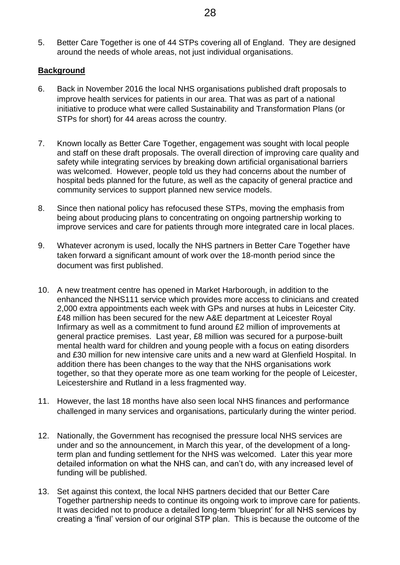5. Better Care Together is one of 44 STPs covering all of England. They are designed around the needs of whole areas, not just individual organisations.

### **Background**

- 6. Back in November 2016 the local NHS organisations published draft proposals to improve health services for patients in our area. That was as part of a national initiative to produce what were called Sustainability and Transformation Plans (or STPs for short) for 44 areas across the country.
- 7. Known locally as Better Care Together, engagement was sought with local people and staff on these draft proposals. The overall direction of improving care quality and safety while integrating services by breaking down artificial organisational barriers was welcomed. However, people told us they had concerns about the number of hospital beds planned for the future, as well as the capacity of general practice and community services to support planned new service models.
- 8. Since then national policy has refocused these STPs, moving the emphasis from being about producing plans to concentrating on ongoing partnership working to improve services and care for patients through more integrated care in local places.
- 9. Whatever acronym is used, locally the NHS partners in Better Care Together have taken forward a significant amount of work over the 18-month period since the document was first published.
- 10. A new treatment centre has opened in Market Harborough, in addition to the enhanced the NHS111 service which provides more access to clinicians and created 2,000 extra appointments each week with GPs and nurses at hubs in Leicester City. £48 million has been secured for the new A&E department at Leicester Royal Infirmary as well as a commitment to fund around £2 million of improvements at general practice premises. Last year, £8 million was secured for a purpose-built mental health ward for children and young people with a focus on eating disorders and £30 million for new intensive care units and a new ward at Glenfield Hospital. In addition there has been changes to the way that the NHS organisations work together, so that they operate more as one team working for the people of Leicester, Leicestershire and Rutland in a less fragmented way.
- 11. However, the last 18 months have also seen local NHS finances and performance challenged in many services and organisations, particularly during the winter period.
- 12. Nationally, the Government has recognised the pressure local NHS services are under and so the announcement, in March this year, of the development of a longterm plan and funding settlement for the NHS was welcomed. Later this year more detailed information on what the NHS can, and can't do, with any increased level of funding will be published.
- 13. Set against this context, the local NHS partners decided that our Better Care Together partnership needs to continue its ongoing work to improve care for patients. It was decided not to produce a detailed long-term 'blueprint' for all NHS services by creating a 'final' version of our original STP plan. This is because the outcome of the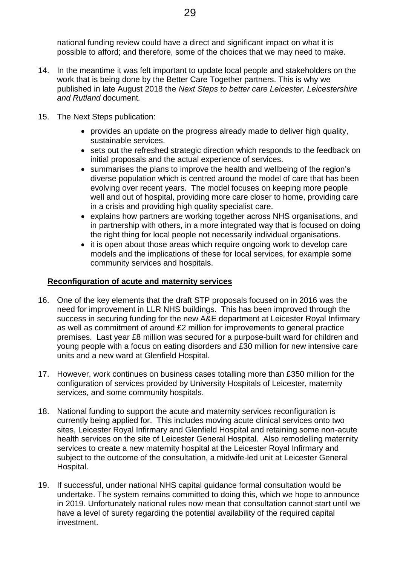national funding review could have a direct and significant impact on what it is possible to afford; and therefore, some of the choices that we may need to make.

- 14. In the meantime it was felt important to update local people and stakeholders on the work that is being done by the Better Care Together partners. This is why we published in late August 2018 the *Next Steps to better care Leicester, Leicestershire and Rutland* document*.*
- 15. The Next Steps publication:
	- provides an update on the progress already made to deliver high quality, sustainable services.
	- sets out the refreshed strategic direction which responds to the feedback on initial proposals and the actual experience of services.
	- summarises the plans to improve the health and wellbeing of the region's diverse population which is centred around the model of care that has been evolving over recent years. The model focuses on keeping more people well and out of hospital, providing more care closer to home, providing care in a crisis and providing high quality specialist care.
	- explains how partners are working together across NHS organisations, and in partnership with others, in a more integrated way that is focused on doing the right thing for local people not necessarily individual organisations.
	- it is open about those areas which require ongoing work to develop care models and the implications of these for local services, for example some community services and hospitals.

## **Reconfiguration of acute and maternity services**

- 16. One of the key elements that the draft STP proposals focused on in 2016 was the need for improvement in LLR NHS buildings. This has been improved through the success in securing funding for the new A&E department at Leicester Royal Infirmary as well as commitment of around £2 million for improvements to general practice premises. Last year £8 million was secured for a purpose-built ward for children and young people with a focus on eating disorders and £30 million for new intensive care units and a new ward at Glenfield Hospital.
- 17. However, work continues on business cases totalling more than £350 million for the configuration of services provided by University Hospitals of Leicester, maternity services, and some community hospitals.
- 18. National funding to support the acute and maternity services reconfiguration is currently being applied for. This includes moving acute clinical services onto two sites, Leicester Royal Infirmary and Glenfield Hospital and retaining some non-acute health services on the site of Leicester General Hospital. Also remodelling maternity services to create a new maternity hospital at the Leicester Royal Infirmary and subject to the outcome of the consultation, a midwife-led unit at Leicester General Hospital.
- 19. If successful, under national NHS capital guidance formal consultation would be undertake. The system remains committed to doing this, which we hope to announce in 2019. Unfortunately national rules now mean that consultation cannot start until we have a level of surety regarding the potential availability of the required capital investment.